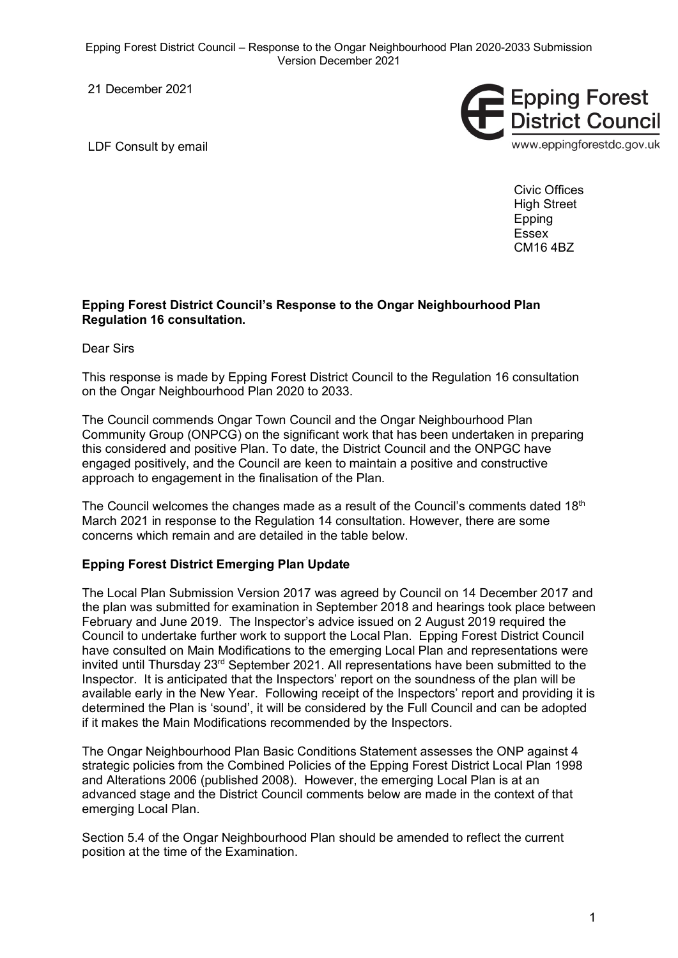Epping Forest District Council – Response to the Ongar Neighbourhood Plan 2020-2033 Submission Version December 2021

21 December 2021

LDF Consult by email



Civic Offices High Street Epping Essex CM16 4BZ

## **Epping Forest District Council's Response to the Ongar Neighbourhood Plan Regulation 16 consultation.**

Dear Sirs

This response is made by Epping Forest District Council to the Regulation 16 consultation on the Ongar Neighbourhood Plan 2020 to 2033.

The Council commends Ongar Town Council and the Ongar Neighbourhood Plan Community Group (ONPCG) on the significant work that has been undertaken in preparing this considered and positive Plan. To date, the District Council and the ONPGC have engaged positively, and the Council are keen to maintain a positive and constructive approach to engagement in the finalisation of the Plan.

The Council welcomes the changes made as a result of the Council's comments dated  $18<sup>th</sup>$ March 2021 in response to the Regulation 14 consultation. However, there are some concerns which remain and are detailed in the table below.

## **Epping Forest District Emerging Plan Update**

The Local Plan Submission Version 2017 was agreed by Council on 14 December 2017 and the plan was submitted for examination in September 2018 and hearings took place between February and June 2019. The Inspector's advice issued on 2 August 2019 required the Council to undertake further work to support the Local Plan. Epping Forest District Council have consulted on Main Modifications to the emerging Local Plan and representations were invited until Thursday 23rd September 2021. All representations have been submitted to the Inspector. It is anticipated that the Inspectors' report on the soundness of the plan will be available early in the New Year. Following receipt of the Inspectors' report and providing it is determined the Plan is 'sound', it will be considered by the Full Council and can be adopted if it makes the Main Modifications recommended by the Inspectors.

The Ongar Neighbourhood Plan Basic Conditions Statement assesses the ONP against 4 strategic policies from the Combined Policies of the Epping Forest District Local Plan 1998 and Alterations 2006 (published 2008). However, the emerging Local Plan is at an advanced stage and the District Council comments below are made in the context of that emerging Local Plan.

Section 5.4 of the Ongar Neighbourhood Plan should be amended to reflect the current position at the time of the Examination.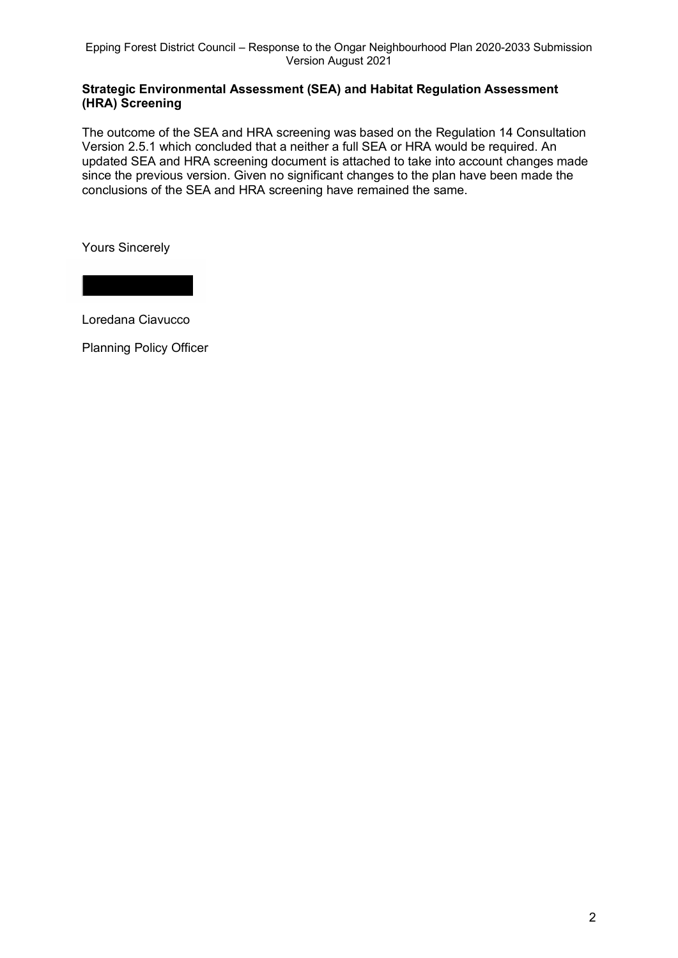## **Strategic Environmental Assessment (SEA) and Habitat Regulation Assessment (HRA) Screening**

The outcome of the SEA and HRA screening was based on the Regulation 14 Consultation Version 2.5.1 which concluded that a neither a full SEA or HRA would be required. An updated SEA and HRA screening document is attached to take into account changes made since the previous version. Given no significant changes to the plan have been made the conclusions of the SEA and HRA screening have remained the same.

Yours Sincerely

Loredana Ciavucco

Planning Policy Officer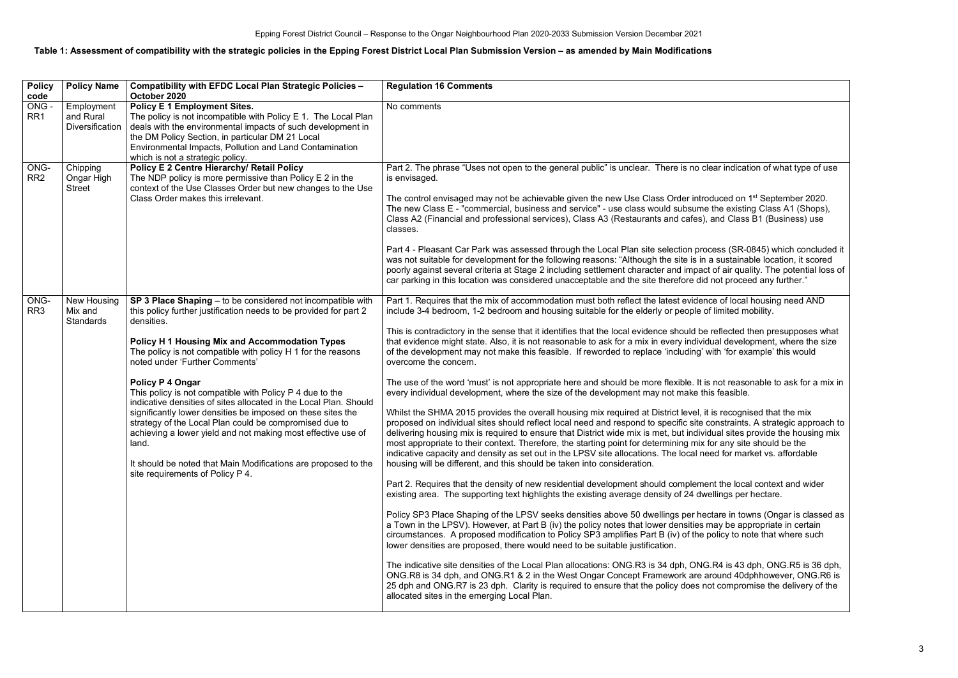## **Table 1: Assessment of compatibility with the strategic policies in the Epping Forest District Local Plan Submission Version – as amended by Main Modifications**

| <b>Policy</b><br>code   | <b>Policy Name</b>                                | Compatibility with EFDC Local Plan Strategic Policies -<br>October 2020                                                                                                                                                                                                                                                                                                                                                                                                                                                                                                                                                                                                                                                                                                | <b>Regulation 16 Comments</b>                                                                                                                                                                                                                                                                                                                                                                                                                                                                                                                                                                                                                                                                                                                                                                                                                                                                                                                                                                                                                                                                                                                                                                                                                                                                                                                                                                                                                                                                                                                                                                                                                                                                                                                                                                                                                                                                                                                                                                                                                                                                                                                                                                                                                                                                                                                                                                                                                                                                                                                                                                                                    |
|-------------------------|---------------------------------------------------|------------------------------------------------------------------------------------------------------------------------------------------------------------------------------------------------------------------------------------------------------------------------------------------------------------------------------------------------------------------------------------------------------------------------------------------------------------------------------------------------------------------------------------------------------------------------------------------------------------------------------------------------------------------------------------------------------------------------------------------------------------------------|----------------------------------------------------------------------------------------------------------------------------------------------------------------------------------------------------------------------------------------------------------------------------------------------------------------------------------------------------------------------------------------------------------------------------------------------------------------------------------------------------------------------------------------------------------------------------------------------------------------------------------------------------------------------------------------------------------------------------------------------------------------------------------------------------------------------------------------------------------------------------------------------------------------------------------------------------------------------------------------------------------------------------------------------------------------------------------------------------------------------------------------------------------------------------------------------------------------------------------------------------------------------------------------------------------------------------------------------------------------------------------------------------------------------------------------------------------------------------------------------------------------------------------------------------------------------------------------------------------------------------------------------------------------------------------------------------------------------------------------------------------------------------------------------------------------------------------------------------------------------------------------------------------------------------------------------------------------------------------------------------------------------------------------------------------------------------------------------------------------------------------------------------------------------------------------------------------------------------------------------------------------------------------------------------------------------------------------------------------------------------------------------------------------------------------------------------------------------------------------------------------------------------------------------------------------------------------------------------------------------------------|
| ONG-<br>RR <sub>1</sub> | Employment<br>and Rural<br><b>Diversification</b> | <b>Policy E 1 Employment Sites.</b><br>The policy is not incompatible with Policy E 1. The Local Plan<br>deals with the environmental impacts of such development in<br>the DM Policy Section, in particular DM 21 Local<br>Environmental Impacts, Pollution and Land Contamination<br>which is not a strategic policy.                                                                                                                                                                                                                                                                                                                                                                                                                                                | No comments                                                                                                                                                                                                                                                                                                                                                                                                                                                                                                                                                                                                                                                                                                                                                                                                                                                                                                                                                                                                                                                                                                                                                                                                                                                                                                                                                                                                                                                                                                                                                                                                                                                                                                                                                                                                                                                                                                                                                                                                                                                                                                                                                                                                                                                                                                                                                                                                                                                                                                                                                                                                                      |
| ONG-<br>RR <sub>2</sub> | Chipping<br>Ongar High<br><b>Street</b>           | <b>Policy E 2 Centre Hierarchy/ Retail Policy</b><br>The NDP policy is more permissive than Policy E 2 in the<br>context of the Use Classes Order but new changes to the Use<br>Class Order makes this irrelevant.                                                                                                                                                                                                                                                                                                                                                                                                                                                                                                                                                     | Part 2. The phrase "Uses not open to the general public" is unclear. There is no clear indication of what type of use<br>is envisaged.<br>The control envisaged may not be achievable given the new Use Class Order introduced on 1 <sup>st</sup> September 2020.<br>The new Class E - "commercial, business and service" - use class would subsume the existing Class A1 (Shops),<br>Class A2 (Financial and professional services), Class A3 (Restaurants and cafes), and Class B1 (Business) use<br>classes.<br>Part 4 - Pleasant Car Park was assessed through the Local Plan site selection process (SR-0845) which concluded it<br>was not suitable for development for the following reasons: "Although the site is in a sustainable location, it scored<br>poorly against several criteria at Stage 2 including settlement character and impact of air quality. The potential loss of<br>car parking in this location was considered unacceptable and the site therefore did not proceed any further."                                                                                                                                                                                                                                                                                                                                                                                                                                                                                                                                                                                                                                                                                                                                                                                                                                                                                                                                                                                                                                                                                                                                                                                                                                                                                                                                                                                                                                                                                                                                                                                                                   |
| ONG-<br>RR <sub>3</sub> | New Housing<br>Mix and<br>Standards               | SP 3 Place Shaping – to be considered not incompatible with<br>this policy further justification needs to be provided for part 2<br>densities.<br><b>Policy H 1 Housing Mix and Accommodation Types</b><br>The policy is not compatible with policy H 1 for the reasons<br>noted under 'Further Comments'<br>Policy P 4 Ongar<br>This policy is not compatible with Policy P 4 due to the<br>indicative densities of sites allocated in the Local Plan. Should<br>significantly lower densities be imposed on these sites the<br>strategy of the Local Plan could be compromised due to<br>achieving a lower yield and not making most effective use of<br>land.<br>It should be noted that Main Modifications are proposed to the<br>site requirements of Policy P 4. | Part 1. Requires that the mix of accommodation must both reflect the latest evidence of local housing need AND<br>include 3-4 bedroom, 1-2 bedroom and housing suitable for the elderly or people of limited mobility.<br>This is contradictory in the sense that it identifies that the local evidence should be reflected then presupposes what<br>that evidence might state. Also, it is not reasonable to ask for a mix in every individual development, where the size<br>of the development may not make this feasible. If reworded to replace 'including' with 'for example' this would<br>overcome the concern.<br>The use of the word 'must' is not appropriate here and should be more flexible. It is not reasonable to ask for a mix in<br>every individual development, where the size of the development may not make this feasible.<br>Whilst the SHMA 2015 provides the overall housing mix required at District level, it is recognised that the mix<br>proposed on individual sites should reflect local need and respond to specific site constraints. A strategic approach to<br>delivering housing mix is required to ensure that District wide mix is met, but individual sites provide the housing mix<br>most appropriate to their context. Therefore, the starting point for determining mix for any site should be the<br>indicative capacity and density as set out in the LPSV site allocations. The local need for market vs. affordable<br>housing will be different, and this should be taken into consideration.<br>Part 2. Requires that the density of new residential development should complement the local context and wider<br>existing area. The supporting text highlights the existing average density of 24 dwellings per hectare.<br>Policy SP3 Place Shaping of the LPSV seeks densities above 50 dwellings per hectare in towns (Ongar is classed as<br>a Town in the LPSV). However, at Part B (iv) the policy notes that lower densities may be appropriate in certain<br>circumstances. A proposed modification to Policy SP3 amplifies Part B (iv) of the policy to note that where such<br>lower densities are proposed, there would need to be suitable justification.<br>The indicative site densities of the Local Plan allocations: ONG.R3 is 34 dph, ONG.R4 is 43 dph, ONG.R5 is 36 dph,<br>ONG.R8 is 34 dph, and ONG.R1 & 2 in the West Ongar Concept Framework are around 40dphhowever, ONG.R6 is<br>25 dph and ONG.R7 is 23 dph. Clarity is required to ensure that the policy does not compromise the delivery of the<br>allocated sites in the emerging Local Plan. |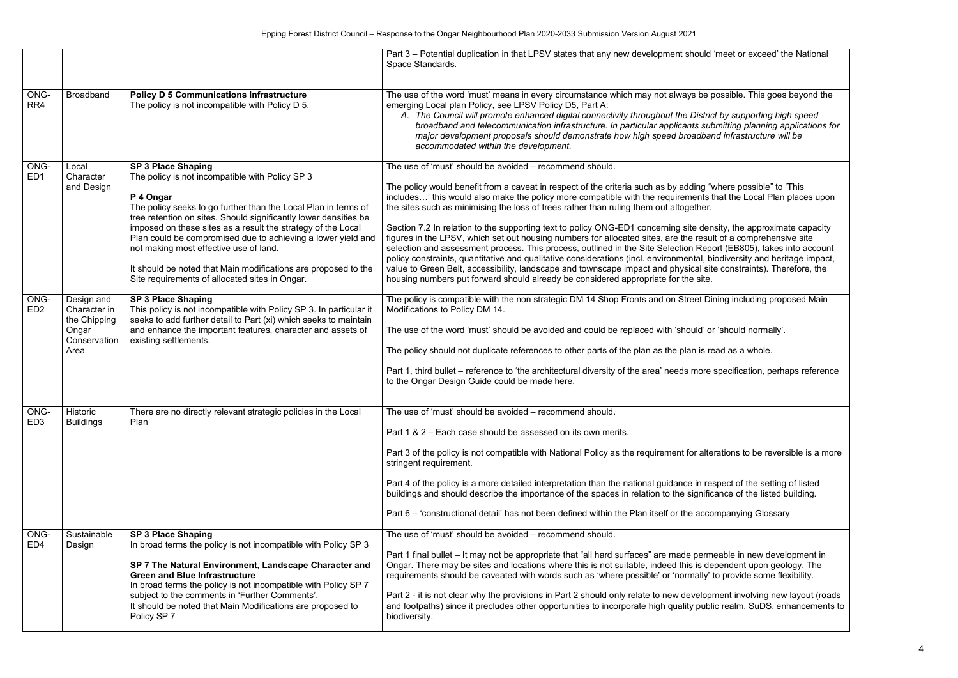|                         |                                                                             |                                                                                                                                                                                                                                                                                                                                                                                                                                                                                                                               | Part 3 – Potential duplication in that LPSV states that any new development should 'meet or exceed' the National<br>Space Standards.                                                                                                                                                                                                                                                                                                                                                                                                                                                                                                                                                                                                                                                                                                                                                                                                                                                                                                                                                     |
|-------------------------|-----------------------------------------------------------------------------|-------------------------------------------------------------------------------------------------------------------------------------------------------------------------------------------------------------------------------------------------------------------------------------------------------------------------------------------------------------------------------------------------------------------------------------------------------------------------------------------------------------------------------|------------------------------------------------------------------------------------------------------------------------------------------------------------------------------------------------------------------------------------------------------------------------------------------------------------------------------------------------------------------------------------------------------------------------------------------------------------------------------------------------------------------------------------------------------------------------------------------------------------------------------------------------------------------------------------------------------------------------------------------------------------------------------------------------------------------------------------------------------------------------------------------------------------------------------------------------------------------------------------------------------------------------------------------------------------------------------------------|
| ONG-<br>RR4             | <b>Broadband</b>                                                            | <b>Policy D 5 Communications Infrastructure</b><br>The policy is not incompatible with Policy D 5.                                                                                                                                                                                                                                                                                                                                                                                                                            | The use of the word 'must' means in every circumstance which may not always be possible. This goes beyond the<br>emerging Local plan Policy, see LPSV Policy D5, Part A:<br>A. The Council will promote enhanced digital connectivity throughout the District by supporting high speed<br>broadband and telecommunication infrastructure. In particular applicants submitting planning applications for<br>major development proposals should demonstrate how high speed broadband infrastructure will be<br>accommodated within the development.                                                                                                                                                                                                                                                                                                                                                                                                                                                                                                                                        |
| ONG-<br>ED <sub>1</sub> | Local<br>Character<br>and Design                                            | <b>SP 3 Place Shaping</b><br>The policy is not incompatible with Policy SP 3<br>P 4 Ongar<br>The policy seeks to go further than the Local Plan in terms of<br>tree retention on sites. Should significantly lower densities be<br>imposed on these sites as a result the strategy of the Local<br>Plan could be compromised due to achieving a lower yield and<br>not making most effective use of land.<br>It should be noted that Main modifications are proposed to the<br>Site requirements of allocated sites in Ongar. | The use of 'must' should be avoided - recommend should.<br>The policy would benefit from a caveat in respect of the criteria such as by adding "where possible" to 'This<br>includes' this would also make the policy more compatible with the requirements that the Local Plan places upon<br>the sites such as minimising the loss of trees rather than ruling them out altogether.<br>Section 7.2 In relation to the supporting text to policy ONG-ED1 concerning site density, the approximate capacity<br>figures in the LPSV, which set out housing numbers for allocated sites, are the result of a comprehensive site<br>selection and assessment process. This process, outlined in the Site Selection Report (EB805), takes into account<br>policy constraints, quantitative and qualitative considerations (incl. environmental, biodiversity and heritage impact,<br>value to Green Belt, accessibility, landscape and townscape impact and physical site constraints). Therefore, the<br>housing numbers put forward should already be considered appropriate for the site. |
| ONG-<br>ED <sub>2</sub> | Design and<br>Character in<br>the Chipping<br>Ongar<br>Conservation<br>Area | <b>SP 3 Place Shaping</b><br>This policy is not incompatible with Policy SP 3. In particular it<br>seeks to add further detail to Part (xi) which seeks to maintain<br>and enhance the important features, character and assets of<br>existing settlements.                                                                                                                                                                                                                                                                   | The policy is compatible with the non strategic DM 14 Shop Fronts and on Street Dining including proposed Main<br>Modifications to Policy DM 14.<br>The use of the word 'must' should be avoided and could be replaced with 'should' or 'should normally'.<br>The policy should not duplicate references to other parts of the plan as the plan is read as a whole.<br>Part 1, third bullet – reference to 'the architectural diversity of the area' needs more specification, perhaps reference<br>to the Ongar Design Guide could be made here.                                                                                                                                                                                                                                                                                                                                                                                                                                                                                                                                        |
| ONG-<br>ED <sub>3</sub> | Historic<br><b>Buildings</b>                                                | There are no directly relevant strategic policies in the Local<br>Plan                                                                                                                                                                                                                                                                                                                                                                                                                                                        | The use of 'must' should be avoided - recommend should.<br>Part 1 & 2 – Each case should be assessed on its own merits.<br>Part 3 of the policy is not compatible with National Policy as the requirement for alterations to be reversible is a more<br>stringent requirement.<br>Part 4 of the policy is a more detailed interpretation than the national guidance in respect of the setting of listed<br>buildings and should describe the importance of the spaces in relation to the significance of the listed building.<br>Part 6 – 'constructional detail' has not been defined within the Plan itself or the accompanying Glossary                                                                                                                                                                                                                                                                                                                                                                                                                                               |
| ONG-<br>ED <sub>4</sub> | Sustainable<br>Design                                                       | <b>SP 3 Place Shaping</b><br>In broad terms the policy is not incompatible with Policy SP 3<br>SP 7 The Natural Environment, Landscape Character and<br><b>Green and Blue Infrastructure</b><br>In broad terms the policy is not incompatible with Policy SP 7<br>subject to the comments in 'Further Comments'.<br>It should be noted that Main Modifications are proposed to<br>Policy SP 7                                                                                                                                 | The use of 'must' should be avoided - recommend should.<br>Part 1 final bullet – It may not be appropriate that "all hard surfaces" are made permeable in new development in<br>Ongar. There may be sites and locations where this is not suitable, indeed this is dependent upon geology. The<br>requirements should be caveated with words such as 'where possible' or 'normally' to provide some flexibility.<br>Part 2 - it is not clear why the provisions in Part 2 should only relate to new development involving new layout (roads<br>and footpaths) since it precludes other opportunities to incorporate high quality public realm, SuDS, enhancements to<br>biodiversity.                                                                                                                                                                                                                                                                                                                                                                                                    |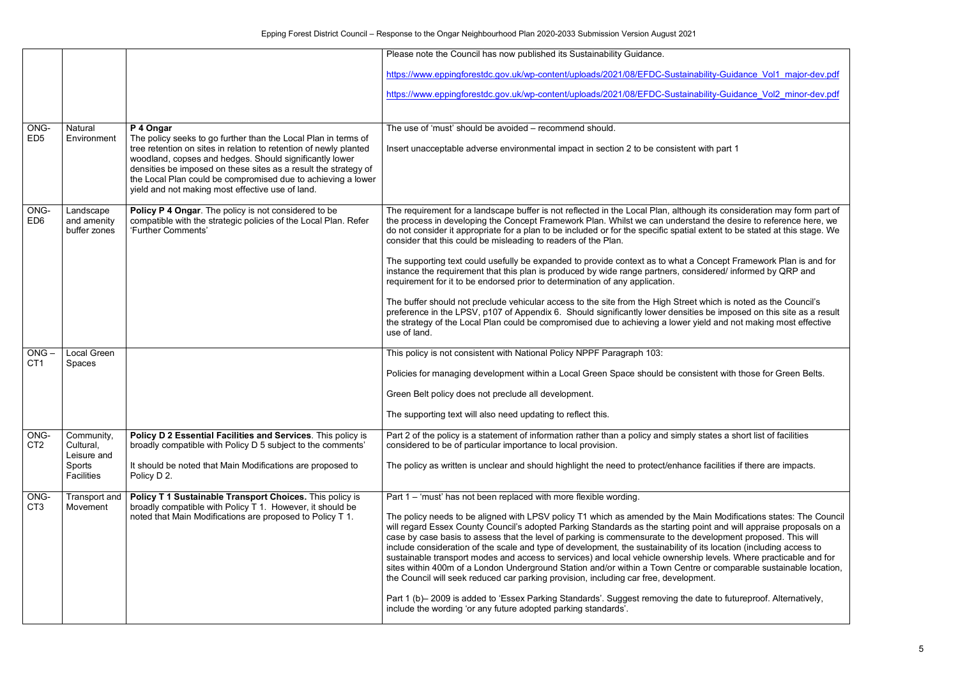|                         |                                          |                                                                                                                                                                                                                                                                                                                                                                                       | Please note the Council has now published its Sustainability Guidance.                                                                                                                                                                                                                                                                                                                                                                                                                                                                                                                                                                                                                                                                                                                                                                                                                                                                                                                                                                                                          |
|-------------------------|------------------------------------------|---------------------------------------------------------------------------------------------------------------------------------------------------------------------------------------------------------------------------------------------------------------------------------------------------------------------------------------------------------------------------------------|---------------------------------------------------------------------------------------------------------------------------------------------------------------------------------------------------------------------------------------------------------------------------------------------------------------------------------------------------------------------------------------------------------------------------------------------------------------------------------------------------------------------------------------------------------------------------------------------------------------------------------------------------------------------------------------------------------------------------------------------------------------------------------------------------------------------------------------------------------------------------------------------------------------------------------------------------------------------------------------------------------------------------------------------------------------------------------|
|                         |                                          |                                                                                                                                                                                                                                                                                                                                                                                       | https://www.eppingforestdc.gov.uk/wp-content/uploads/2021/08/EFDC-Sustainability-Guidance Vol1 major-dev.pdf                                                                                                                                                                                                                                                                                                                                                                                                                                                                                                                                                                                                                                                                                                                                                                                                                                                                                                                                                                    |
|                         |                                          |                                                                                                                                                                                                                                                                                                                                                                                       | https://www.eppingforestdc.gov.uk/wp-content/uploads/2021/08/EFDC-Sustainability-Guidance Vol2 minor-dev.pdf                                                                                                                                                                                                                                                                                                                                                                                                                                                                                                                                                                                                                                                                                                                                                                                                                                                                                                                                                                    |
| ONG-                    | Natural                                  | P 4 Ongar                                                                                                                                                                                                                                                                                                                                                                             | The use of 'must' should be avoided – recommend should.                                                                                                                                                                                                                                                                                                                                                                                                                                                                                                                                                                                                                                                                                                                                                                                                                                                                                                                                                                                                                         |
| ED <sub>5</sub>         | Environment                              | The policy seeks to go further than the Local Plan in terms of<br>tree retention on sites in relation to retention of newly planted<br>woodland, copses and hedges. Should significantly lower<br>densities be imposed on these sites as a result the strategy of<br>the Local Plan could be compromised due to achieving a lower<br>yield and not making most effective use of land. | Insert unacceptable adverse environmental impact in section 2 to be consistent with part 1                                                                                                                                                                                                                                                                                                                                                                                                                                                                                                                                                                                                                                                                                                                                                                                                                                                                                                                                                                                      |
| ONG-<br>ED <sub>6</sub> | Landscape<br>and amenity<br>buffer zones | Policy P 4 Ongar. The policy is not considered to be<br>compatible with the strategic policies of the Local Plan. Refer<br>'Further Comments'                                                                                                                                                                                                                                         | The requirement for a landscape buffer is not reflected in the Local Plan, although its consideration may form part of<br>the process in developing the Concept Framework Plan. Whilst we can understand the desire to reference here, we<br>do not consider it appropriate for a plan to be included or for the specific spatial extent to be stated at this stage. We<br>consider that this could be misleading to readers of the Plan.                                                                                                                                                                                                                                                                                                                                                                                                                                                                                                                                                                                                                                       |
|                         |                                          |                                                                                                                                                                                                                                                                                                                                                                                       | The supporting text could usefully be expanded to provide context as to what a Concept Framework Plan is and for<br>instance the requirement that this plan is produced by wide range partners, considered/ informed by QRP and<br>requirement for it to be endorsed prior to determination of any application.                                                                                                                                                                                                                                                                                                                                                                                                                                                                                                                                                                                                                                                                                                                                                                 |
|                         |                                          |                                                                                                                                                                                                                                                                                                                                                                                       | The buffer should not preclude vehicular access to the site from the High Street which is noted as the Council's<br>preference in the LPSV, p107 of Appendix 6. Should significantly lower densities be imposed on this site as a result<br>the strategy of the Local Plan could be compromised due to achieving a lower yield and not making most effective<br>use of land.                                                                                                                                                                                                                                                                                                                                                                                                                                                                                                                                                                                                                                                                                                    |
| $ONG -$                 | <b>Local Green</b>                       |                                                                                                                                                                                                                                                                                                                                                                                       | This policy is not consistent with National Policy NPPF Paragraph 103:                                                                                                                                                                                                                                                                                                                                                                                                                                                                                                                                                                                                                                                                                                                                                                                                                                                                                                                                                                                                          |
| CT <sub>1</sub>         | Spaces                                   |                                                                                                                                                                                                                                                                                                                                                                                       | Policies for managing development within a Local Green Space should be consistent with those for Green Belts.                                                                                                                                                                                                                                                                                                                                                                                                                                                                                                                                                                                                                                                                                                                                                                                                                                                                                                                                                                   |
|                         |                                          |                                                                                                                                                                                                                                                                                                                                                                                       | Green Belt policy does not preclude all development.                                                                                                                                                                                                                                                                                                                                                                                                                                                                                                                                                                                                                                                                                                                                                                                                                                                                                                                                                                                                                            |
|                         |                                          |                                                                                                                                                                                                                                                                                                                                                                                       | The supporting text will also need updating to reflect this.                                                                                                                                                                                                                                                                                                                                                                                                                                                                                                                                                                                                                                                                                                                                                                                                                                                                                                                                                                                                                    |
| ONG-<br>CT <sub>2</sub> | Community,<br>Cultural,<br>Leisure and   | Policy D 2 Essential Facilities and Services. This policy is<br>broadly compatible with Policy D 5 subject to the comments'                                                                                                                                                                                                                                                           | Part 2 of the policy is a statement of information rather than a policy and simply states a short list of facilities<br>considered to be of particular importance to local provision.                                                                                                                                                                                                                                                                                                                                                                                                                                                                                                                                                                                                                                                                                                                                                                                                                                                                                           |
|                         | Sports<br>Facilities                     | It should be noted that Main Modifications are proposed to<br>Policy D 2.                                                                                                                                                                                                                                                                                                             | The policy as written is unclear and should highlight the need to protect/enhance facilities if there are impacts.                                                                                                                                                                                                                                                                                                                                                                                                                                                                                                                                                                                                                                                                                                                                                                                                                                                                                                                                                              |
| ONG-<br>CT <sub>3</sub> | Transport and<br>Movement                | Policy T 1 Sustainable Transport Choices. This policy is<br>broadly compatible with Policy T 1. However, it should be<br>noted that Main Modifications are proposed to Policy T 1.                                                                                                                                                                                                    | Part 1 – 'must' has not been replaced with more flexible wording.<br>The policy needs to be aligned with LPSV policy T1 which as amended by the Main Modifications states: The Council<br>will regard Essex County Council's adopted Parking Standards as the starting point and will appraise proposals on a<br>case by case basis to assess that the level of parking is commensurate to the development proposed. This will<br>include consideration of the scale and type of development, the sustainability of its location (including access to<br>sustainable transport modes and access to services) and local vehicle ownership levels. Where practicable and for<br>sites within 400m of a London Underground Station and/or within a Town Centre or comparable sustainable location,<br>the Council will seek reduced car parking provision, including car free, development.<br>Part 1 (b) - 2009 is added to 'Essex Parking Standards'. Suggest removing the date to futureproof. Alternatively,<br>include the wording 'or any future adopted parking standards'. |